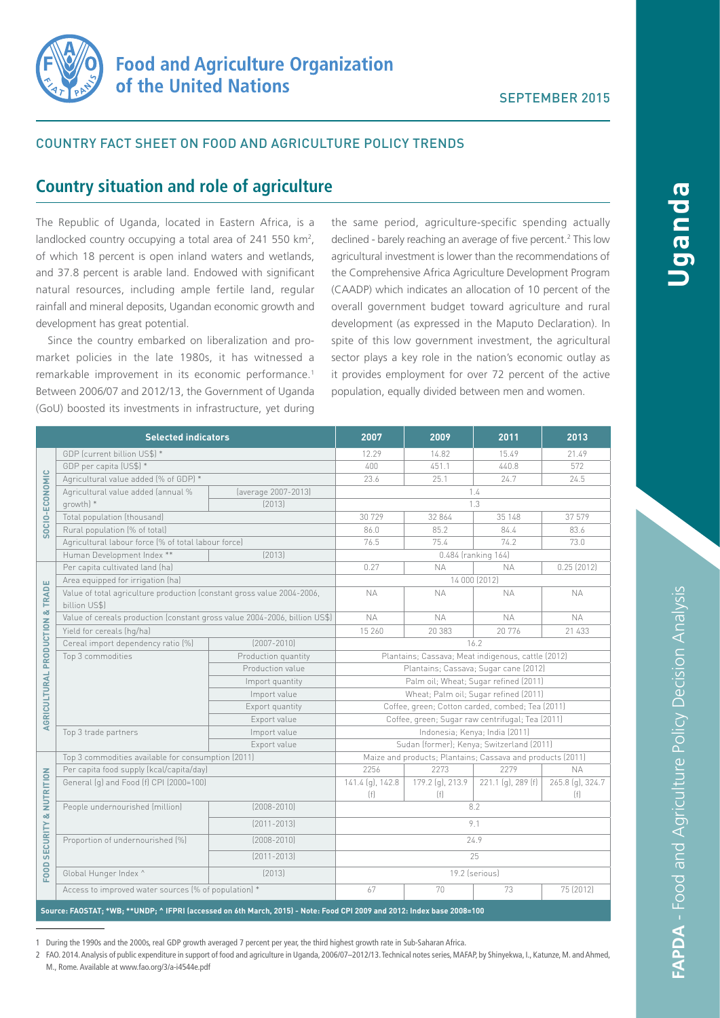

## COUNTRY FACT SHEET ON FOOD AND AGRICULTURE POLICY TRENDS

# **Country situation and role of agriculture**

The Republic of Uganda, located in Eastern Africa, is a landlocked country occupying a total area of 241 550 km<sup>2</sup>, of which 18 percent is open inland waters and wetlands, and 37.8 percent is arable land. Endowed with significant natural resources, including ample fertile land, regular rainfall and mineral deposits, Ugandan economic growth and development has great potential.

Since the country embarked on liberalization and promarket policies in the late 1980s, it has witnessed a remarkable improvement in its economic performance.<sup>1</sup> Between 2006/07 and 2012/13, the Government of Uganda (GoU) boosted its investments in infrastructure, yet during

the same period, agriculture-specific spending actually declined - barely reaching an average of five percent.<sup>2</sup> This low agricultural investment is lower than the recommendations of the Comprehensive Africa Agriculture Development Program (CAADP) which indicates an allocation of 10 percent of the overall government budget toward agriculture and rural development (as expressed in the Maputo Declaration). In spite of this low government investment, the agricultural sector plays a key role in the nation's economic outlay as it provides employment for over 72 percent of the active population, equally divided between men and women.

| <b>Selected indicators</b>           |                                                                                                                         |                     | 2007                                                       | 2009                    | 2011                | 2013                    |  |
|--------------------------------------|-------------------------------------------------------------------------------------------------------------------------|---------------------|------------------------------------------------------------|-------------------------|---------------------|-------------------------|--|
| SOCIO-ECONOMIC                       | GDP (current billion US\$) *                                                                                            |                     | 12.29                                                      | 14.82                   | 15.49               | 21.49                   |  |
|                                      | GDP per capita (US\$) *                                                                                                 |                     | 400                                                        | 451.1                   | 440.8               | 572                     |  |
|                                      | Agricultural value added (% of GDP) *                                                                                   |                     | 23.6                                                       | 25.1                    | 24.7                | 24.5                    |  |
|                                      | Agricultural value added (annual %                                                                                      | (average 2007-2013) |                                                            |                         | 1.4                 |                         |  |
|                                      | growth) *                                                                                                               | [2013]              | 1.3                                                        |                         |                     |                         |  |
|                                      | Total population (thousand)                                                                                             |                     | 30 729                                                     | 32 864                  | 35 148              | 37 579                  |  |
|                                      | Rural population (% of total)                                                                                           |                     | 86.0                                                       | 85.2                    | 84.4                | 83.6                    |  |
|                                      | Agricultural labour force (% of total labour force)                                                                     |                     | 76.5                                                       | 75.4                    | 74.2                | 73.0                    |  |
|                                      | Human Development Index **                                                                                              | [2013]              |                                                            |                         | 0.484 (ranking 164) |                         |  |
| AGRICULTURAL PRODUCTION & TRADE      | Per capita cultivated land (ha)                                                                                         |                     | 0.27                                                       | <b>NA</b>               | <b>NA</b>           | 0.25(2012)              |  |
|                                      | Area equipped for irrigation (ha)                                                                                       |                     | 14 000 (2012)                                              |                         |                     |                         |  |
|                                      | Value of total agriculture production (constant gross value 2004-2006,<br>billion US\$)                                 |                     | <b>NA</b>                                                  | <b>NA</b>               | <b>NA</b>           | <b>NA</b>               |  |
|                                      | Value of cereals production (constant gross value 2004-2006, billion US\$)                                              |                     | <b>NA</b>                                                  | <b>NA</b>               | <b>NA</b>           | <b>NA</b>               |  |
|                                      | Yield for cereals (hq/ha)                                                                                               |                     | 15 260                                                     | 20 383                  | 20 776              | 21 433                  |  |
|                                      | Cereal import dependency ratio (%)                                                                                      | $[2007 - 2010]$     | 16.2                                                       |                         |                     |                         |  |
|                                      | Top 3 commodities                                                                                                       | Production quantity | Plantains; Cassava; Meat indigenous, cattle (2012)         |                         |                     |                         |  |
|                                      |                                                                                                                         | Production value    | Plantains; Cassava; Sugar cane (2012)                      |                         |                     |                         |  |
|                                      |                                                                                                                         | Import quantity     | Palm oil; Wheat; Sugar refined (2011)                      |                         |                     |                         |  |
|                                      |                                                                                                                         | Import value        | Wheat; Palm oil; Sugar refined (2011)                      |                         |                     |                         |  |
|                                      |                                                                                                                         | Export quantity     | Coffee, green; Cotton carded, combed; Tea (2011)           |                         |                     |                         |  |
|                                      |                                                                                                                         | Export value        | Coffee, green; Sugar raw centrifugal; Tea (2011)           |                         |                     |                         |  |
|                                      | Top 3 trade partners                                                                                                    | Import value        | Indonesia; Kenya; India (2011)                             |                         |                     |                         |  |
|                                      |                                                                                                                         | Export value        | Sudan (former); Kenya; Switzerland (2011)                  |                         |                     |                         |  |
| <b>FOOD SECURITY &amp; NUTRITION</b> | Top 3 commodities available for consumption (2011)                                                                      |                     | Maize and products; Plantains; Cassava and products (2011) |                         |                     |                         |  |
|                                      | Per capita food supply (kcal/capita/day)                                                                                |                     | 2256                                                       | 2273                    | 2279                | <b>NA</b>               |  |
|                                      | General (g) and Food (f) CPI (2000=100)                                                                                 |                     | 141.4 (g), 142.8<br>(f)                                    | 179.2 (g), 213.9<br>(f) | 221.1 (g), 289 (f)  | 265.8 (g), 324.7<br>(f) |  |
|                                      | People undernourished (million)                                                                                         | $[2008 - 2010]$     | 8.2                                                        |                         |                     |                         |  |
|                                      |                                                                                                                         | $[2011 - 2013]$     | 9.1                                                        |                         |                     |                         |  |
|                                      | Proportion of undernourished (%)<br>$[2008 - 2010]$                                                                     |                     | 24.9                                                       |                         |                     |                         |  |
|                                      |                                                                                                                         | $[2011 - 2013]$     | 25                                                         |                         |                     |                         |  |
|                                      | Global Hunger Index ^                                                                                                   | [2013]              | 19.2 (serious)                                             |                         |                     |                         |  |
|                                      | Access to improved water sources (% of population) *                                                                    |                     | 67                                                         | 70                      | 73                  | 75 (2012)               |  |
|                                      | Source: FAOSTAT; *WB; **UNDP; ^ IFPRI (accessed on 6th March, 2015) - Note: Food CPI 2009 and 2012: Index base 2008=100 |                     |                                                            |                         |                     |                         |  |

1 During the 1990s and the 2000s, real GDP growth averaged 7 percent per year, the third highest growth rate in Sub-Saharan Africa.

2 FAO. 2014. Analysis of public expenditure in support of food and agriculture in Uganda, 2006/07–2012/13. Technical notes series, MAFAP, by Shinyekwa, I., Katunze, M. and Ahmed, M., Rome. Available at www.fao.org/3/a-i4544e.pdf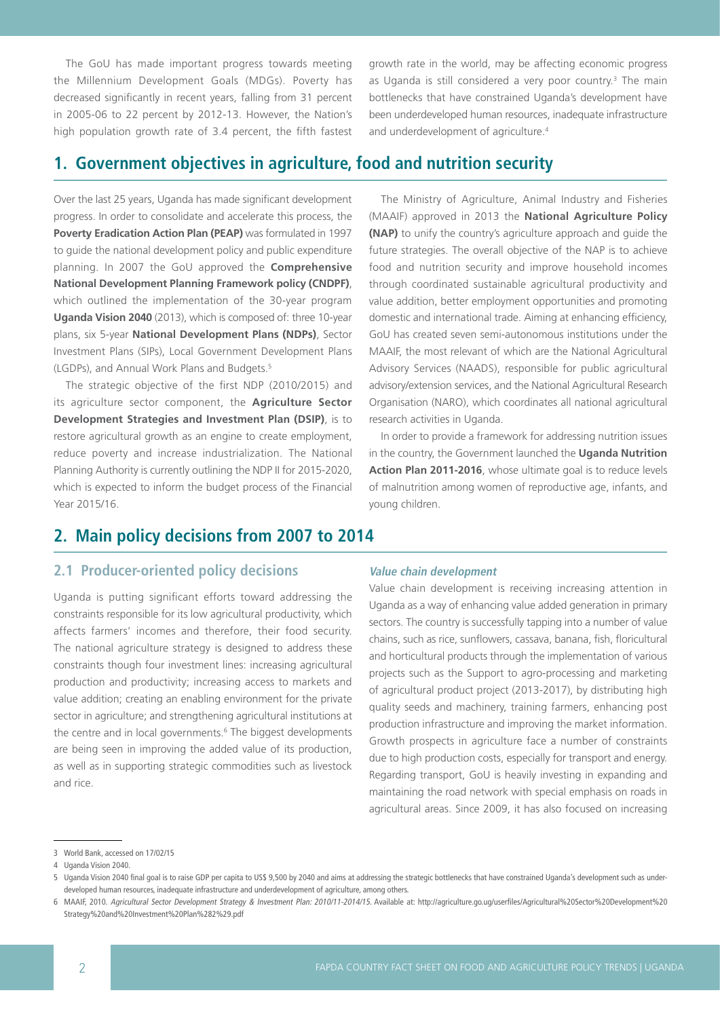The GoU has made important progress towards meeting the Millennium Development Goals (MDGs). Poverty has decreased significantly in recent years, falling from 31 percent in 2005-06 to 22 percent by 2012-13. However, the Nation's high population growth rate of 3.4 percent, the fifth fastest growth rate in the world, may be affecting economic progress as Uganda is still considered a very poor country.<sup>3</sup> The main bottlenecks that have constrained Uganda's development have been underdeveloped human resources, inadequate infrastructure and underdevelopment of agriculture.<sup>4</sup>

# **1. Government objectives in agriculture, food and nutrition security**

Over the last 25 years, Uganda has made significant development progress. In order to consolidate and accelerate this process, the **Poverty Eradication Action Plan (PEAP)** was formulated in 1997 to guide the national development policy and public expenditure planning. In 2007 the GoU approved the **Comprehensive National Development Planning Framework policy (CNDPF)**, which outlined the implementation of the 30-year program **Uganda Vision 2040** (2013), which is composed of: three 10-year plans, six 5-year **National Development Plans (NDPs)**, Sector Investment Plans (SIPs), Local Government Development Plans (LGDPs), and Annual Work Plans and Budgets.5

The strategic objective of the first NDP (2010/2015) and its agriculture sector component, the **Agriculture Sector Development Strategies and Investment Plan (DSIP)**, is to restore agricultural growth as an engine to create employment, reduce poverty and increase industrialization. The National Planning Authority is currently outlining the NDP II for 2015-2020, which is expected to inform the budget process of the Financial Year 2015/16.

# **2. Main policy decisions from 2007 to 2014**

## **2.1 Producer-oriented policy decisions**

Uganda is putting significant efforts toward addressing the constraints responsible for its low agricultural productivity, which affects farmers' incomes and therefore, their food security. The national agriculture strategy is designed to address these constraints though four investment lines: increasing agricultural production and productivity; increasing access to markets and value addition; creating an enabling environment for the private sector in agriculture; and strengthening agricultural institutions at the centre and in local governments.<sup>6</sup> The biggest developments are being seen in improving the added value of its production, as well as in supporting strategic commodities such as livestock and rice.

The Ministry of Agriculture, Animal Industry and Fisheries (MAAIF) approved in 2013 the **National Agriculture Policy (NAP)** to unify the country's agriculture approach and guide the future strategies. The overall objective of the NAP is to achieve food and nutrition security and improve household incomes through coordinated sustainable agricultural productivity and value addition, better employment opportunities and promoting domestic and international trade. Aiming at enhancing efficiency, GoU has created seven semi-autonomous institutions under the MAAIF, the most relevant of which are the National Agricultural Advisory Services (NAADS), responsible for public agricultural advisory/extension services, and the National Agricultural Research Organisation (NARO), which coordinates all national agricultural research activities in Uganda.

In order to provide a framework for addressing nutrition issues in the country, the Government launched the **Uganda Nutrition Action Plan 2011-2016**, whose ultimate goal is to reduce levels of malnutrition among women of reproductive age, infants, and young children.

#### **Value chain development**

Value chain development is receiving increasing attention in Uganda as a way of enhancing value added generation in primary sectors. The country is successfully tapping into a number of value chains, such as rice, sunflowers, cassava, banana, fish, floricultural and horticultural products through the implementation of various projects such as the Support to agro-processing and marketing of agricultural product project (2013-2017), by distributing high quality seeds and machinery, training farmers, enhancing post production infrastructure and improving the market information. Growth prospects in agriculture face a number of constraints due to high production costs, especially for transport and energy. Regarding transport, GoU is heavily investing in expanding and maintaining the road network with special emphasis on roads in agricultural areas. Since 2009, it has also focused on increasing

<sup>3</sup> World Bank, accessed on 17/02/15

<sup>4</sup> Uganda Vision 2040.

<sup>5</sup> Uganda Vision 2040 final goal is to raise GDP per capita to US\$ 9,500 by 2040 and aims at addressing the strategic bottlenecks that have constrained Uganda's development such as underdeveloped human resources, inadequate infrastructure and underdevelopment of agriculture, among others.

<sup>6</sup> MAAIF, 2010. Agricultural Sector Development Strategy & Investment Plan: 2010/11-2014/15. Available at: http://agriculture.go.ug/userfiles/Agricultural%20Sector%20Development%20 Strategy%20and%20Investment%20Plan%282%29.pdf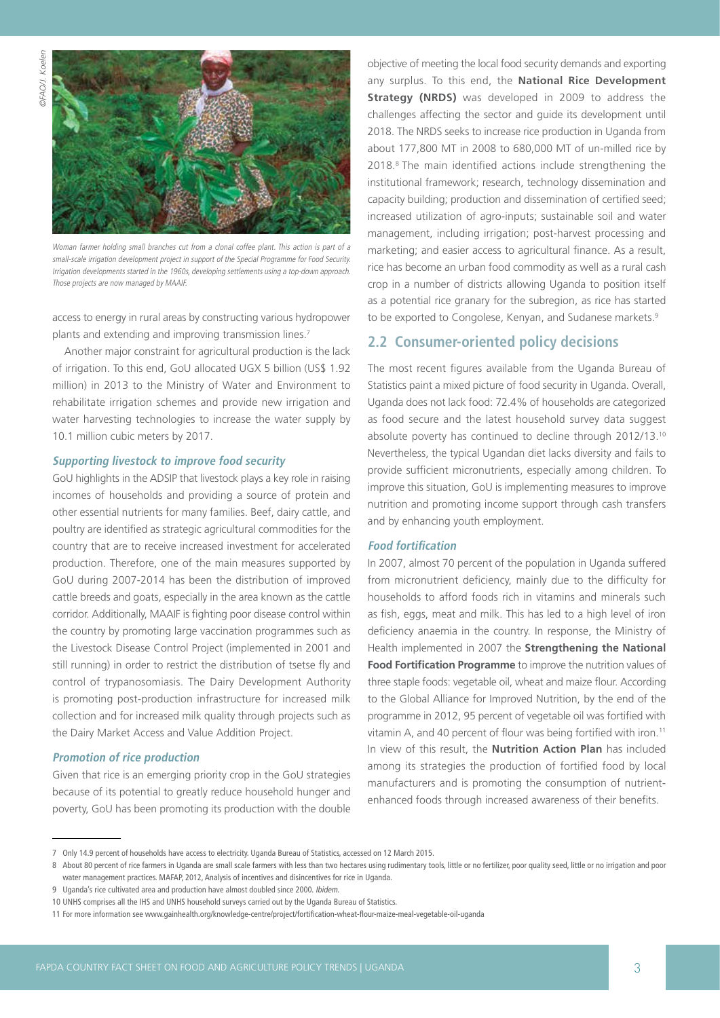

Woman farmer holding small branches cut from a clonal coffee plant. This action is part of a small-scale irrigation development project in support of the Special Programme for Food Security. Irrigation developments started in the 1960s, developing settlements using a top-down approach. Those projects are now managed by MAAIF.

access to energy in rural areas by constructing various hydropower plants and extending and improving transmission lines.<sup>7</sup>

Another major constraint for agricultural production is the lack of irrigation. To this end, GoU allocated UGX 5 billion (US\$ 1.92 million) in 2013 to the Ministry of Water and Environment to rehabilitate irrigation schemes and provide new irrigation and water harvesting technologies to increase the water supply by 10.1 million cubic meters by 2017.

#### **Supporting livestock to improve food security**

GoU highlights in the ADSIP that livestock plays a key role in raising incomes of households and providing a source of protein and other essential nutrients for many families. Beef, dairy cattle, and poultry are identified as strategic agricultural commodities for the country that are to receive increased investment for accelerated production. Therefore, one of the main measures supported by GoU during 2007-2014 has been the distribution of improved cattle breeds and goats, especially in the area known as the cattle corridor. Additionally, MAAIF is fighting poor disease control within the country by promoting large vaccination programmes such as the Livestock Disease Control Project (implemented in 2001 and still running) in order to restrict the distribution of tsetse fly and control of trypanosomiasis. The Dairy Development Authority is promoting post-production infrastructure for increased milk collection and for increased milk quality through projects such as the Dairy Market Access and Value Addition Project.

#### **Promotion of rice production**

Given that rice is an emerging priority crop in the GoU strategies because of its potential to greatly reduce household hunger and poverty, GoU has been promoting its production with the double objective of meeting the local food security demands and exporting any surplus. To this end, the **National Rice Development Strategy (NRDS)** was developed in 2009 to address the challenges affecting the sector and guide its development until 2018. The NRDS seeks to increase rice production in Uganda from about 177,800 MT in 2008 to 680,000 MT of un-milled rice by 2018.8 The main identified actions include strengthening the institutional framework; research, technology dissemination and capacity building; production and dissemination of certified seed; increased utilization of agro-inputs; sustainable soil and water management, including irrigation; post-harvest processing and marketing; and easier access to agricultural finance. As a result, rice has become an urban food commodity as well as a rural cash crop in a number of districts allowing Uganda to position itself as a potential rice granary for the subregion, as rice has started to be exported to Congolese, Kenyan, and Sudanese markets.<sup>9</sup>

## **2.2 Consumer-oriented policy decisions**

The most recent figures available from the Uganda Bureau of Statistics paint a mixed picture of food security in Uganda. Overall, Uganda does not lack food: 72.4% of households are categorized as food secure and the latest household survey data suggest absolute poverty has continued to decline through 2012/13.10 Nevertheless, the typical Ugandan diet lacks diversity and fails to provide sufficient micronutrients, especially among children. To improve this situation, GoU is implementing measures to improve nutrition and promoting income support through cash transfers and by enhancing youth employment.

#### **Food fortification**

In 2007, almost 70 percent of the population in Uganda suffered from micronutrient deficiency, mainly due to the difficulty for households to afford foods rich in vitamins and minerals such as fish, eggs, meat and milk. This has led to a high level of iron deficiency anaemia in the country. In response, the Ministry of Health implemented in 2007 the **Strengthening the National Food Fortification Programme** to improve the nutrition values of three staple foods: vegetable oil, wheat and maize flour. According to the Global Alliance for Improved Nutrition, by the end of the programme in 2012, 95 percent of vegetable oil was fortified with vitamin A, and 40 percent of flour was being fortified with iron.<sup>11</sup> In view of this result, the **Nutrition Action Plan** has included among its strategies the production of fortified food by local manufacturers and is promoting the consumption of nutrientenhanced foods through increased awareness of their benefits.

<sup>7</sup> Only 14.9 percent of households have access to electricity. Uganda Bureau of Statistics, accessed on 12 March 2015.

<sup>8</sup> About 80 percent of rice farmers in Uganda are small scale farmers with less than two hectares using rudimentary tools, little or no fertilizer, poor quality seed, little or no irrigation and poor water management practices. MAFAP, 2012, Analysis of incentives and disincentives for rice in Uganda.

<sup>9</sup> Uganda's rice cultivated area and production have almost doubled since 2000. Ibidem.

<sup>10</sup> UNHS comprises all the IHS and UNHS household surveys carried out by the Uganda Bureau of Statistics.

<sup>11</sup> For more information see www.gainhealth.org/knowledge-centre/project/fortification-wheat-flour-maize-meal-vegetable-oil-uganda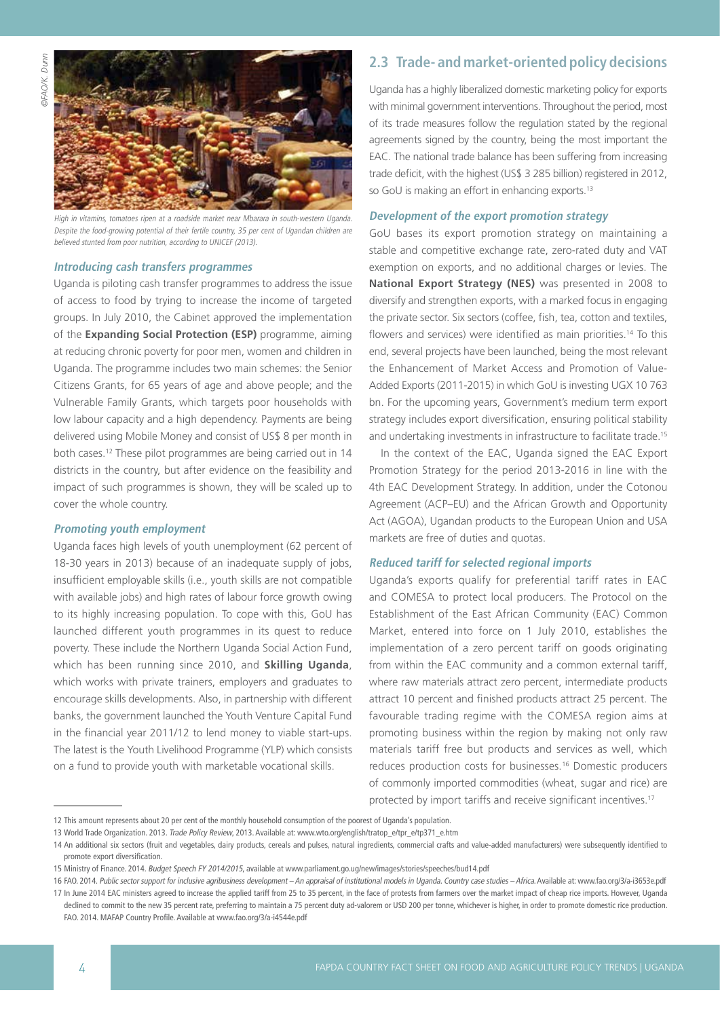

High in vitamins, tomatoes ripen at a roadside market near Mbarara in south-western Uganda. Despite the food-growing potential of their fertile country, 35 per cent of Ugandan children are believed stunted from poor nutrition, according to UNICEF (2013).

#### **Introducing cash transfers programmes**

Uganda is piloting cash transfer programmes to address the issue of access to food by trying to increase the income of targeted groups. In July 2010, the Cabinet approved the implementation of the **Expanding Social Protection (ESP)** programme, aiming at reducing chronic poverty for poor men, women and children in Uganda. The programme includes two main schemes: the Senior Citizens Grants, for 65 years of age and above people; and the Vulnerable Family Grants, which targets poor households with low labour capacity and a high dependency. Payments are being delivered using Mobile Money and consist of US\$ 8 per month in both cases.12 These pilot programmes are being carried out in 14 districts in the country, but after evidence on the feasibility and impact of such programmes is shown, they will be scaled up to cover the whole country.

#### **Promoting youth employment**

Uganda faces high levels of youth unemployment (62 percent of 18-30 years in 2013) because of an inadequate supply of jobs, insufficient employable skills (i.e., youth skills are not compatible with available jobs) and high rates of labour force growth owing to its highly increasing population. To cope with this, GoU has launched different youth programmes in its quest to reduce poverty. These include the Northern Uganda Social Action Fund, which has been running since 2010, and **Skilling Uganda**, which works with private trainers, employers and graduates to encourage skills developments. Also, in partnership with different banks, the government launched the Youth Venture Capital Fund in the financial year 2011/12 to lend money to viable start-ups. The latest is the Youth Livelihood Programme (YLP) which consists on a fund to provide youth with marketable vocational skills.

## **2.3 Trade- and market-oriented policy decisions**

Uganda has a highly liberalized domestic marketing policy for exports with minimal government interventions. Throughout the period, most of its trade measures follow the regulation stated by the regional agreements signed by the country, being the most important the EAC. The national trade balance has been suffering from increasing trade deficit, with the highest (US\$ 3 285 billion) registered in 2012, so GoU is making an effort in enhancing exports.<sup>13</sup>

#### **Development of the export promotion strategy**

GoU bases its export promotion strategy on maintaining a stable and competitive exchange rate, zero-rated duty and VAT exemption on exports, and no additional charges or levies. The **National Export Strategy (NES)** was presented in 2008 to diversify and strengthen exports, with a marked focus in engaging the private sector. Six sectors (coffee, fish, tea, cotton and textiles, flowers and services) were identified as main priorities.<sup>14</sup> To this end, several projects have been launched, being the most relevant the Enhancement of Market Access and Promotion of Value-Added Exports (2011-2015) in which GoU is investing UGX 10 763 bn. For the upcoming years, Government's medium term export strategy includes export diversification, ensuring political stability and undertaking investments in infrastructure to facilitate trade.<sup>15</sup>

In the context of the EAC, Uganda signed the EAC Export Promotion Strategy for the period 2013-2016 in line with the 4th EAC Development Strategy. In addition, under the Cotonou Agreement (ACP–EU) and the African Growth and Opportunity Act (AGOA), Ugandan products to the European Union and USA markets are free of duties and quotas.

#### **Reduced tariff for selected regional imports**

Uganda's exports qualify for preferential tariff rates in EAC and COMESA to protect local producers. The Protocol on the Establishment of the East African Community (EAC) Common Market, entered into force on 1 July 2010, establishes the implementation of a zero percent tariff on goods originating from within the EAC community and a common external tariff, where raw materials attract zero percent, intermediate products attract 10 percent and finished products attract 25 percent. The favourable trading regime with the COMESA region aims at promoting business within the region by making not only raw materials tariff free but products and services as well, which reduces production costs for businesses.16 Domestic producers of commonly imported commodities (wheat, sugar and rice) are protected by import tariffs and receive significant incentives.17

<sup>12</sup> This amount represents about 20 per cent of the monthly household consumption of the poorest of Uganda's population.

<sup>13</sup> World Trade Organization. 2013. Trade Policy Review, 2013. Available at: www.wto.org/english/tratop\_e/tpr\_e/tp371\_e.htm

<sup>14</sup> An additional six sectors (fruit and vegetables, dairy products, cereals and pulses, natural ingredients, commercial crafts and value-added manufacturers) were subsequently identified to promote export diversification.

<sup>15</sup> Ministry of Finance. 2014. Budget Speech FY 2014/2015, available at www.parliament.go.ug/new/images/stories/speeches/bud14.pdf

<sup>16</sup> FAO. 2014. Public sector support for inclusive agribusiness development – An appraisal of institutional models in Uganda. Country case studies – Africa. Available at: www.fao.org/3/a-i3653e.pdf 17 In June 2014 EAC ministers agreed to increase the applied tariff from 25 to 35 percent, in the face of protests from farmers over the market impact of cheap rice imports. However, Uganda declined to commit to the new 35 percent rate, preferring to maintain a 75 percent duty ad-valorem or USD 200 per tonne, whichever is higher, in order to promote domestic rice production. FAO. 2014. MAFAP Country Profile. Available at www.fao.org/3/a-i4544e.pdf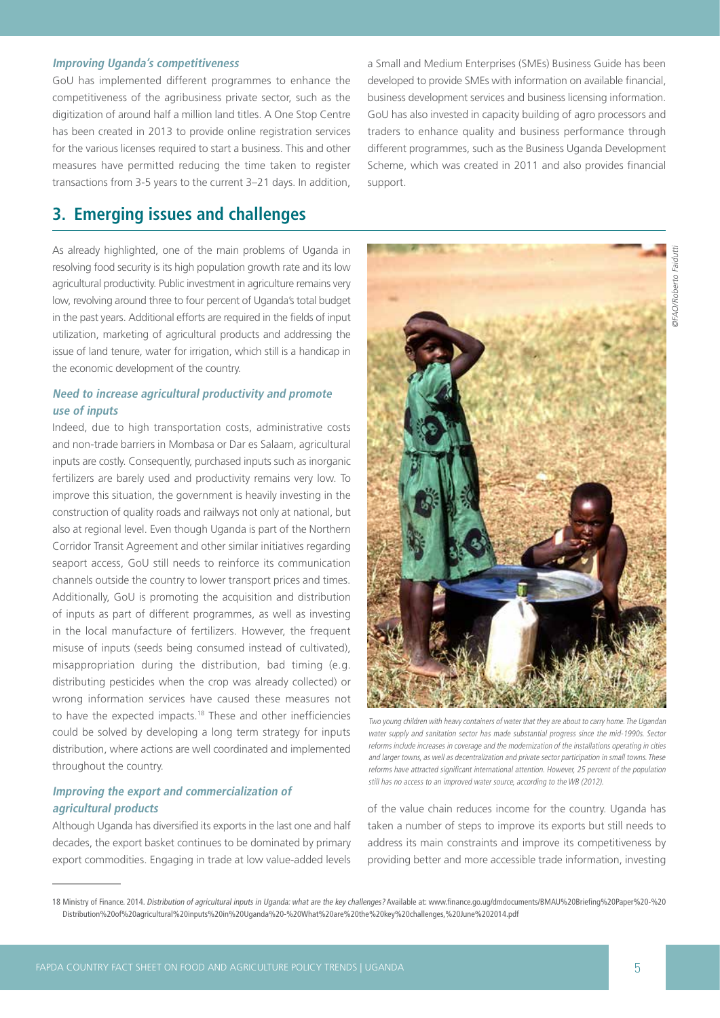#### **Improving Uganda's competitiveness**

GoU has implemented different programmes to enhance the competitiveness of the agribusiness private sector, such as the digitization of around half a million land titles. A One Stop Centre has been created in 2013 to provide online registration services for the various licenses required to start a business. This and other measures have permitted reducing the time taken to register transactions from 3-5 years to the current 3–21 days. In addition,

# **3. Emerging issues and challenges**

As already highlighted, one of the main problems of Uganda in resolving food security is its high population growth rate and its low agricultural productivity. Public investment in agriculture remains very low, revolving around three to four percent of Uganda's total budget in the past years. Additional efforts are required in the fields of input utilization, marketing of agricultural products and addressing the issue of land tenure, water for irrigation, which still is a handicap in the economic development of the country.

## **Need to increase agricultural productivity and promote use of inputs**

Indeed, due to high transportation costs, administrative costs and non-trade barriers in Mombasa or Dar es Salaam, agricultural inputs are costly. Consequently, purchased inputs such as inorganic fertilizers are barely used and productivity remains very low. To improve this situation, the government is heavily investing in the construction of quality roads and railways not only at national, but also at regional level. Even though Uganda is part of the Northern Corridor Transit Agreement and other similar initiatives regarding seaport access, GoU still needs to reinforce its communication channels outside the country to lower transport prices and times. Additionally, GoU is promoting the acquisition and distribution of inputs as part of different programmes, as well as investing in the local manufacture of fertilizers. However, the frequent misuse of inputs (seeds being consumed instead of cultivated), misappropriation during the distribution, bad timing (e.g. distributing pesticides when the crop was already collected) or wrong information services have caused these measures not to have the expected impacts.18 These and other inefficiencies could be solved by developing a long term strategy for inputs distribution, where actions are well coordinated and implemented throughout the country.

## **Improving the export and commercialization of agricultural products**

Although Uganda has diversified its exports in the last one and half decades, the export basket continues to be dominated by primary export commodities. Engaging in trade at low value-added levels

a Small and Medium Enterprises (SMEs) Business Guide has been developed to provide SMEs with information on available financial, business development services and business licensing information. GoU has also invested in capacity building of agro processors and traders to enhance quality and business performance through different programmes, such as the Business Uganda Development Scheme, which was created in 2011 and also provides financial support.



Two young children with heavy containers of water that they are about to carry home. The Ugandan water supply and sanitation sector has made substantial progress since the mid-1990s. Sector reforms include increases in coverage and the modernization of the installations operating in cities and larger towns, as well as decentralization and private sector participation in small towns. These reforms have attracted significant international attention. However, 25 percent of the population still has no access to an improved water source, according to the WB (2012).

of the value chain reduces income for the country. Uganda has taken a number of steps to improve its exports but still needs to address its main constraints and improve its competitiveness by providing better and more accessible trade information, investing

<sup>18</sup> Ministry of Finance. 2014. Distribution of agricultural inputs in Uganda: what are the key challenges? Available at: www.finance.go.ug/dmdocuments/BMAU%20Briefing%20Paper%20-%20 Distribution%20of%20agricultural%20inputs%20in%20Uganda%20-%20What%20are%20the%20key%20challenges,%20June%202014.pdf